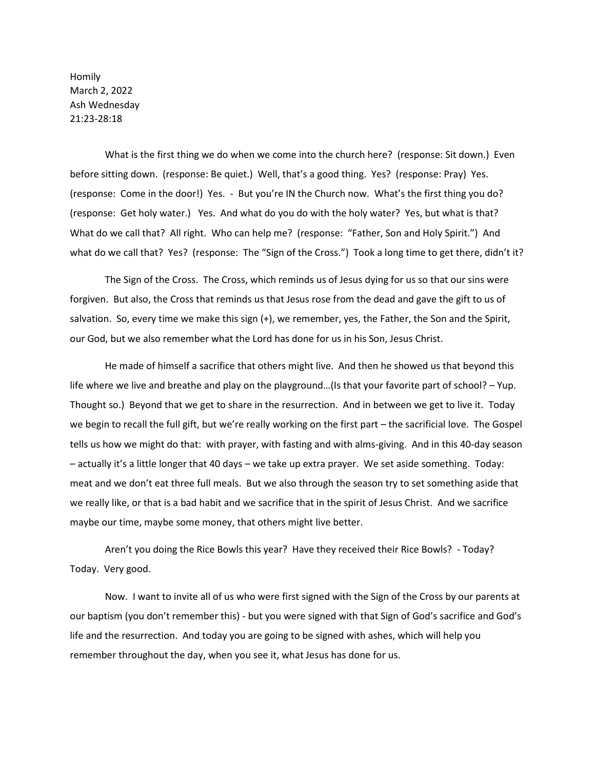Homily March 2, 2022 Ash Wednesday 21:23-28:18

What is the first thing we do when we come into the church here? (response: Sit down.) Even before sitting down. (response: Be quiet.) Well, that's a good thing. Yes? (response: Pray) Yes. (response: Come in the door!) Yes. - But you're IN the Church now. What's the first thing you do? (response: Get holy water.) Yes. And what do you do with the holy water? Yes, but what is that? What do we call that? All right. Who can help me? (response: "Father, Son and Holy Spirit.") And what do we call that? Yes? (response: The "Sign of the Cross.") Took a long time to get there, didn't it?

The Sign of the Cross. The Cross, which reminds us of Jesus dying for us so that our sins were forgiven. But also, the Cross that reminds us that Jesus rose from the dead and gave the gift to us of salvation. So, every time we make this sign (+), we remember, yes, the Father, the Son and the Spirit, our God, but we also remember what the Lord has done for us in his Son, Jesus Christ.

He made of himself a sacrifice that others might live. And then he showed us that beyond this life where we live and breathe and play on the playground…(Is that your favorite part of school? – Yup. Thought so.) Beyond that we get to share in the resurrection. And in between we get to live it. Today we begin to recall the full gift, but we're really working on the first part – the sacrificial love. The Gospel tells us how we might do that: with prayer, with fasting and with alms-giving. And in this 40-day season – actually it's a little longer that 40 days – we take up extra prayer. We set aside something. Today: meat and we don't eat three full meals. But we also through the season try to set something aside that we really like, or that is a bad habit and we sacrifice that in the spirit of Jesus Christ. And we sacrifice maybe our time, maybe some money, that others might live better.

Aren't you doing the Rice Bowls this year? Have they received their Rice Bowls? - Today? Today. Very good.

Now. I want to invite all of us who were first signed with the Sign of the Cross by our parents at our baptism (you don't remember this) - but you were signed with that Sign of God's sacrifice and God's life and the resurrection. And today you are going to be signed with ashes, which will help you remember throughout the day, when you see it, what Jesus has done for us.